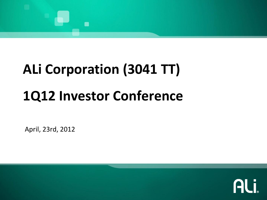# $\blacksquare$

## **ALi Corporation (3041 TT) 1Q12 Investor Conference**

April, 23rd, 2012

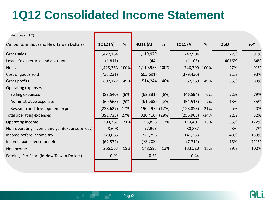#### **1Q12 Consolidated Income Statement**

| (In thousand NT\$)                            |                      |      |                      |      |              |        |        |       |
|-----------------------------------------------|----------------------|------|----------------------|------|--------------|--------|--------|-------|
| (Amounts in thousand New Taiwan Dollars)      | 1Q12 (A)             | %    | 4Q11 (A)             | %    | 1Q11(A)      | %      | QoQ    | YoY   |
| Gross sales                                   | 1,427,164            |      | 1,119,979            |      | 747,904      |        | 27%    | 91%   |
| Less: Sales returns and discounts             | (1,811)              |      | (44)                 |      | (1, 105)     |        | 4016%  | 64%   |
| Net sales                                     | 1,425,353            | 100% | 1,119,935 100%       |      | 746,799 100% |        | 27%    | 91%   |
| Cost of goods sold                            | (733, 231)           |      | (605, 691)           |      | (379, 430)   |        | 21%    | 93%   |
| Gross profits                                 | 692,122              | 49%  | 514,244              | 46%  | 367,369      | 49%    | 35%    | 88%   |
| Operating expenses                            |                      |      |                      |      |              |        |        |       |
| Selling expenses                              | (83, 540)            | (6%) | (68, 331)            | (6%) | (46, 594)    | $-6%$  | 22%    | 79%   |
| Administrative expenses                       | (69, 568)            | (5%) | (61, 588)            | (5%) | (51, 516)    | $-7%$  | 13%    | 35%   |
| Research and development expenses             | $(238, 627)$ $(17%)$ |      | $(190, 497)$ $(17%)$ |      | (158, 858)   | $-21%$ | 25%    | 50%   |
| Total operating expenses                      | $(391, 735)$ $(27%)$ |      | $(320, 416)$ $(29%)$ |      | (256, 968)   | $-34%$ | 22%    | 52%   |
| Operating income                              | 300,387              | 21%  | 193,828              | 17%  | 110,401      | 15%    | 55%    | 172%  |
| Non-operating income and gain(expense & loss) | 28,698               |      | 27,968               |      | 30,832       |        | 3%     | $-7%$ |
| Income before income tax                      | 329,085              |      | 221,796              |      | 141,233      |        | 48%    | 133%  |
| Income tax (expense) benefit                  | (62, 532)            |      | (73, 203)            |      | (7, 713)     |        | $-15%$ | 711%  |
| Net income                                    | 266,553              | 19%  | 148,593              | 13%  | 133,520      | 18%    | 79%    | 100%  |
| Earnings Per Share(in New Taiwan Dollars)     | 0.91                 |      | 0.51                 |      | 0.44         |        |        |       |
|                                               |                      |      |                      |      |              |        |        |       |

e a construction of the construction of the construction of the construction of the Page2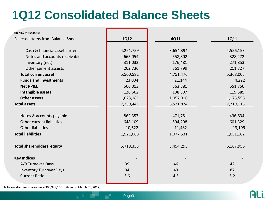#### **1Q12 Consolidated Balance Sheets**

| (In NT\$ thousands)               |             |           |           |
|-----------------------------------|-------------|-----------|-----------|
| Selected Items from Balance Sheet | <b>1Q12</b> | 4Q11      | 1Q11      |
| Cash & financial asset current    | 4,261,759   | 3,654,394 | 4,556,153 |
| Notes and accounts receivable     | 665,054     | 558,802   | 328,272   |
| Inventory (net)                   | 311,032     | 176,481   | 271,853   |
| Other current assests             | 262,736     | 361,799   | 211,727   |
| <b>Total current asset</b>        | 5,500,581   | 4,751,476 | 5,368,005 |
| <b>Funds and Investments</b>      | 23,004      | 21,144    | 4,222     |
| <b>Net PP&amp;E</b>               | 566,013     | 563,881   | 551,750   |
| Intangible assets                 | 126,662     | 138,307   | 119,585   |
| <b>Other assets</b>               | 1,023,181   | 1,057,016 | 1,175,556 |
| <b>Total assets</b>               | 7,239,441   | 6,531,824 | 7,219,118 |
| Notes & accounts payable          | 862,357     | 471,751   | 436,634   |
| Other current liabilities         | 648,109     | 594,298   | 601,329   |
| <b>Other liabilities</b>          | 10,622      | 11,482    | 13,199    |
| <b>Total liabilities</b>          | 1,521,088   | 1,077,531 | 1,051,162 |
| <b>Total shareholders' equity</b> | 5,718,353   | 5,454,293 | 6,167,956 |
| <b>Key Indices</b>                |             |           |           |
| A/R Turnover Days                 | 39          | 46        | 42        |
| <b>Inventory Turnover Days</b>    | 34          | 43        | 87        |
| <b>Current Ratio</b>              | 3.6         | 4.5       | 5.2       |
|                                   |             |           |           |

(Total outstanding shares were 303,949,100 units as of March 31, 2012)

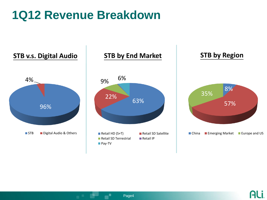#### **1Q12 Revenue Breakdown**



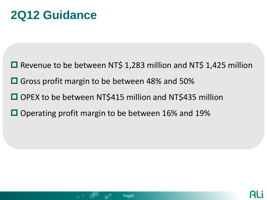#### **2Q12 Guidance**

- $\Box$  Revenue to be between NT\$ 1,283 million and NT\$ 1,425 million
- Gross profit margin to be between 48% and 50%
- OPEX to be between NT\$415 million and NT\$435 million
- $\Box$  Operating profit margin to be between 16% and 19%